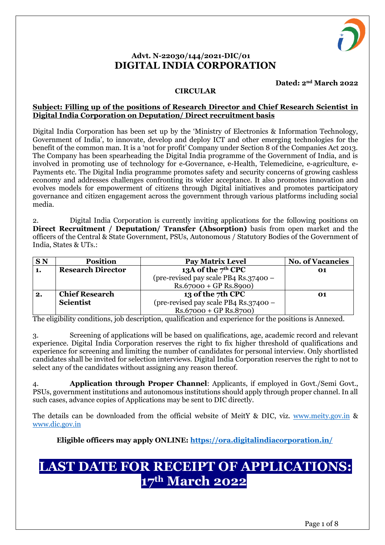

# **Advt. N-22030/144/2021-DIC/01 DIGITAL INDIA CORPORATION**

**Dated: 2nd March 2022**

#### **CIRCULAR**

#### **Subject: Filling up of the positions of Research Director and Chief Research Scientist in Digital India Corporation on Deputation/ Direct recruitment basis**

Digital India Corporation has been set up by the 'Ministry of Electronics & Information Technology, Government of India', to innovate, develop and deploy ICT and other emerging technologies for the benefit of the common man. It is a 'not for profit' Company under Section 8 of the Companies Act 2013. The Company has been spearheading the Digital India programme of the Government of India, and is involved in promoting use of technology for e-Governance, e-Health, Telemedicine, e-agriculture, e-Payments etc. The Digital India programme promotes safety and security concerns of growing cashless economy and addresses challenges confronting its wider acceptance. It also promotes innovation and evolves models for empowerment of citizens through Digital initiatives and promotes participatory governance and citizen engagement across the government through various platforms including social media.

2. Digital India Corporation is currently inviting applications for the following positions on **Direct Recruitment / Deputation/ Transfer (Absorption)** basis from open market and the officers of the Central & State Government, PSUs, Autonomous / Statutory Bodies of the Government of India, States & UTs.:

| <b>SN</b> | <b>Position</b>          | <b>Pay Matrix Level</b>               | <b>No. of Vacancies</b> |
|-----------|--------------------------|---------------------------------------|-------------------------|
| 1.        | <b>Research Director</b> | 13A of the $7th$ CPC                  | 01                      |
|           |                          | (pre-revised pay scale PB4 Rs.37400 - |                         |
|           |                          | $Rs.67000 + GP Rs.8900$               |                         |
| 2.        | <b>Chief Research</b>    | 13 of the 7th CPC                     | 01                      |
|           | <b>Scientist</b>         | (pre-revised pay scale PB4 Rs.37400 - |                         |
|           |                          | $Rs.67000 + GP Rs.8700)$              |                         |

The eligibility conditions, job description, qualification and experience for the positions is Annexed.

3. Screening of applications will be based on qualifications, age, academic record and relevant experience. Digital India Corporation reserves the right to fix higher threshold of qualifications and experience for screening and limiting the number of candidates for personal interview. Only shortlisted candidates shall be invited for selection interviews. Digital India Corporation reserves the right to not to select any of the candidates without assigning any reason thereof.

4. **Application through Proper Channel**: Applicants, if employed in Govt./Semi Govt., PSUs, government institutions and autonomous institutions should apply through proper channel. In all such cases, advance copies of Applications may be sent to DIC directly.

The details can be downloaded from the official website of MeitY & DIC, viz. [www.meity.gov.in](http://www.meity.gov.in/) & [www.dic.gov.in](http://www.dic.gov.in/)

**Eligible officers may apply ONLINE:<https://ora.digitalindiacorporation.in/>**

# **LAST DATE FOR RECEIPT OF APPLICATIONS: 17th March 2022**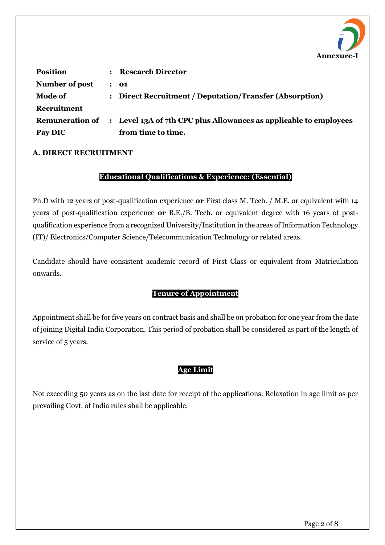

| <b>Position</b> | : Research Director                                                               |
|-----------------|-----------------------------------------------------------------------------------|
| Number of post  | : 01                                                                              |
| <b>Mode of</b>  | : Direct Recruitment / Deputation/Transfer (Absorption)                           |
| Recruitment     |                                                                                   |
|                 | Remuneration of : Level 13A of 7th CPC plus Allowances as applicable to employees |
| Pay DIC         | from time to time.                                                                |

## **A. DIRECT RECRUITMENT**

## **Educational Qualifications & Experience: (Essential)**

Ph.D with 12 years of post-qualification experience **or** First class M. Tech. / M.E. or equivalent with 14 years of post-qualification experience **or** B.E./B. Tech. or equivalent degree with 16 years of postqualification experience from a recognized University/Institution in the areas of Information Technology (IT)/ Electronics/Computer Science/Telecommunication Technology or related areas.

Candidate should have consistent academic record of First Class or equivalent from Matriculation onwards.

# **Tenure of Appointment**

Appointment shall be for five years on contract basis and shall be on probation for one year from the date of joining Digital India Corporation. This period of probation shall be considered as part of the length of service of 5 years.

# **Age Limit**

Not exceeding 50 years as on the last date for receipt of the applications. Relaxation in age limit as per prevailing Govt. of India rules shall be applicable.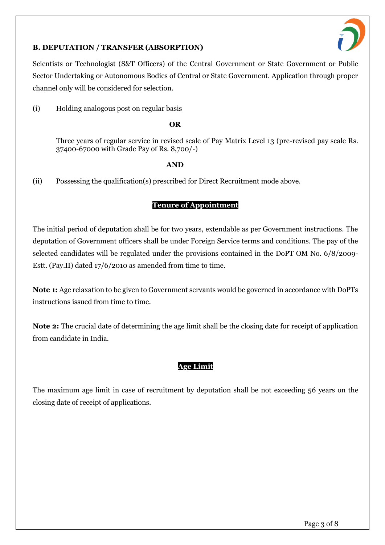

# **B. DEPUTATION / TRANSFER (ABSORPTION)**

Scientists or Technologist (S&T Officers) of the Central Government or State Government or Public Sector Undertaking or Autonomous Bodies of Central or State Government. Application through proper channel only will be considered for selection.

(i) Holding analogous post on regular basis

#### **OR**

Three years of regular service in revised scale of Pay Matrix Level 13 (pre-revised pay scale Rs. 37400-67000 with Grade Pay of Rs. 8,700/-)

#### **AND**

(ii) Possessing the qualification(s) prescribed for Direct Recruitment mode above.

# **Tenure of Appointment**

The initial period of deputation shall be for two years, extendable as per Government instructions. The deputation of Government officers shall be under Foreign Service terms and conditions. The pay of the selected candidates will be regulated under the provisions contained in the DoPT OM No. 6/8/2009- Estt. (Pay.II) dated 17/6/2010 as amended from time to time.

**Note 1:** Age relaxation to be given to Government servants would be governed in accordance with DoPTs instructions issued from time to time.

**Note 2:** The crucial date of determining the age limit shall be the closing date for receipt of application from candidate in India.

# **Age Limit**

The maximum age limit in case of recruitment by deputation shall be not exceeding 56 years on the closing date of receipt of applications.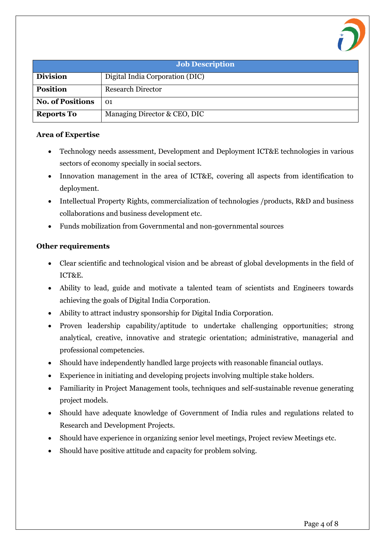

| <b>Job Description</b>  |                                 |  |
|-------------------------|---------------------------------|--|
| <b>Division</b>         | Digital India Corporation (DIC) |  |
| <b>Position</b>         | <b>Research Director</b>        |  |
| <b>No. of Positions</b> | 01                              |  |
| <b>Reports To</b>       | Managing Director & CEO, DIC    |  |

#### **Area of Expertise**

- Technology needs assessment, Development and Deployment ICT&E technologies in various sectors of economy specially in social sectors.
- Innovation management in the area of ICT&E, covering all aspects from identification to deployment.
- Intellectual Property Rights, commercialization of technologies /products, R&D and business collaborations and business development etc.
- Funds mobilization from Governmental and non-governmental sources

## **Other requirements**

- Clear scientific and technological vision and be abreast of global developments in the field of ICT&E.
- Ability to lead, guide and motivate a talented team of scientists and Engineers towards achieving the goals of Digital India Corporation.
- Ability to attract industry sponsorship for Digital India Corporation.
- Proven leadership capability/aptitude to undertake challenging opportunities; strong analytical, creative, innovative and strategic orientation; administrative, managerial and professional competencies.
- Should have independently handled large projects with reasonable financial outlays.
- Experience in initiating and developing projects involving multiple stake holders.
- Familiarity in Project Management tools, techniques and self-sustainable revenue generating project models.
- Should have adequate knowledge of Government of India rules and regulations related to Research and Development Projects.
- Should have experience in organizing senior level meetings, Project review Meetings etc.
- Should have positive attitude and capacity for problem solving.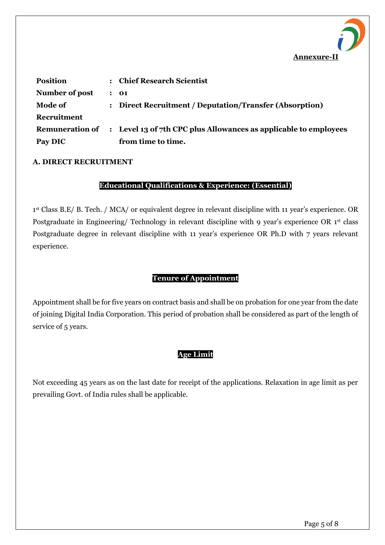

| <b>Position</b>        | $\ddot{\phantom{a}}$ | <b>Chief Research Scientist</b>                                  |
|------------------------|----------------------|------------------------------------------------------------------|
| Number of post         |                      | : 01                                                             |
| <b>Mode of</b>         | $\ddot{\phantom{a}}$ | Direct Recruitment / Deputation/Transfer (Absorption)            |
| Recruitment            |                      |                                                                  |
| <b>Remuneration of</b> |                      | : Level 13 of 7th CPC plus Allowances as applicable to employees |
| Pay DIC                |                      | from time to time.                                               |

#### **A. DIRECT RECRUITMENT**

#### **Educational Qualifications & Experience: (Essential)**

1 st Class B.E/ B. Tech. / MCA/ or equivalent degree in relevant discipline with 11 year's experience. OR Postgraduate in Engineering/ Technology in relevant discipline with 9 year's experience OR 1st class Postgraduate degree in relevant discipline with 11 year's experience OR Ph.D with 7 years relevant experience.

## **Tenure of Appointment**

Appointment shall be for five years on contract basis and shall be on probation for one year from the date of joining Digital India Corporation. This period of probation shall be considered as part of the length of service of 5 years.

## **Age Limit**

Not exceeding 45 years as on the last date for receipt of the applications. Relaxation in age limit as per prevailing Govt. of India rules shall be applicable.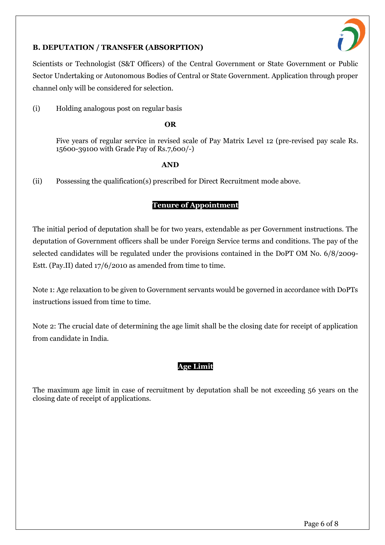

# **B. DEPUTATION / TRANSFER (ABSORPTION)**

Scientists or Technologist (S&T Officers) of the Central Government or State Government or Public Sector Undertaking or Autonomous Bodies of Central or State Government. Application through proper channel only will be considered for selection.

(i) Holding analogous post on regular basis

#### **OR**

Five years of regular service in revised scale of Pay Matrix Level 12 (pre-revised pay scale Rs. 15600-39100 with Grade Pay of Rs.7,600/-)

#### **AND**

(ii) Possessing the qualification(s) prescribed for Direct Recruitment mode above.

# **Tenure of Appointment**

The initial period of deputation shall be for two years, extendable as per Government instructions. The deputation of Government officers shall be under Foreign Service terms and conditions. The pay of the selected candidates will be regulated under the provisions contained in the DoPT OM No. 6/8/2009- Estt. (Pay.II) dated 17/6/2010 as amended from time to time.

Note 1: Age relaxation to be given to Government servants would be governed in accordance with DoPTs instructions issued from time to time.

Note 2: The crucial date of determining the age limit shall be the closing date for receipt of application from candidate in India.

# **Age Limit**

The maximum age limit in case of recruitment by deputation shall be not exceeding 56 years on the closing date of receipt of applications.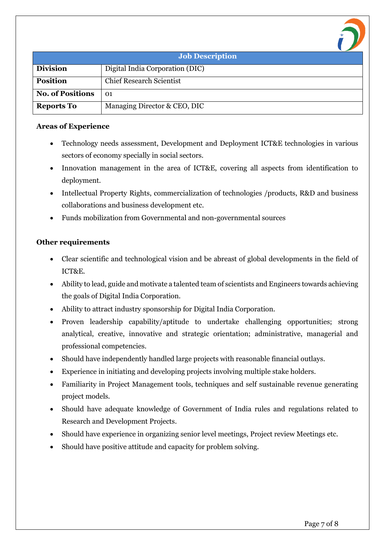| <b>Job Description</b>  |                                 |  |
|-------------------------|---------------------------------|--|
| <b>Division</b>         | Digital India Corporation (DIC) |  |
| <b>Position</b>         | <b>Chief Research Scientist</b> |  |
| <b>No. of Positions</b> | 01                              |  |
| <b>Reports To</b>       | Managing Director & CEO, DIC    |  |

## **Areas of Experience**

- Technology needs assessment, Development and Deployment ICT&E technologies in various sectors of economy specially in social sectors.
- Innovation management in the area of ICT&E, covering all aspects from identification to deployment.
- Intellectual Property Rights, commercialization of technologies /products, R&D and business collaborations and business development etc.
- Funds mobilization from Governmental and non-governmental sources

# **Other requirements**

- Clear scientific and technological vision and be abreast of global developments in the field of ICT&E.
- Ability to lead, guide and motivate a talented team of scientists and Engineers towards achieving the goals of Digital India Corporation.
- Ability to attract industry sponsorship for Digital India Corporation.
- Proven leadership capability/aptitude to undertake challenging opportunities; strong analytical, creative, innovative and strategic orientation; administrative, managerial and professional competencies.
- Should have independently handled large projects with reasonable financial outlays.
- Experience in initiating and developing projects involving multiple stake holders.
- Familiarity in Project Management tools, techniques and self sustainable revenue generating project models.
- Should have adequate knowledge of Government of India rules and regulations related to Research and Development Projects.
- Should have experience in organizing senior level meetings, Project review Meetings etc.
- Should have positive attitude and capacity for problem solving.